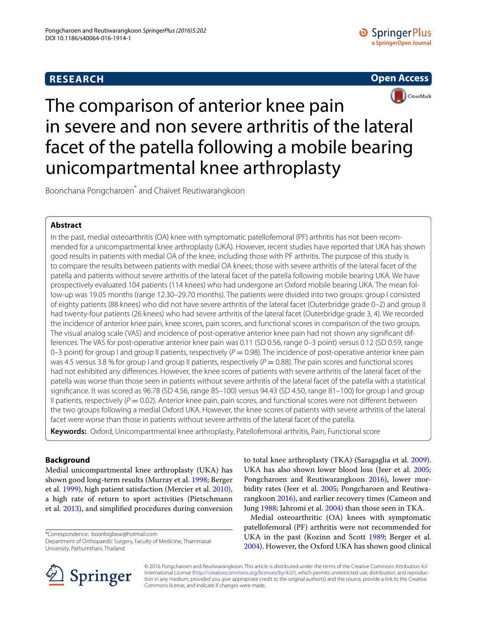# **RESEARCH**





The comparison of anterior knee pain in severe and non severe arthritis of the lateral facet of the patella following a mobile bearing unicompartmental knee arthroplasty

Boonchana Pongcharoen\* and Chaivet Reutiwarangkoon

## **Abstract**

In the past, medial osteoarthritis (OA) knee with symptomatic patellofemoral (PF) arthritis has not been recommended for a unicompartmental knee arthroplasty (UKA). However, recent studies have reported that UKA has shown good results in patients with medial OA of the knee, including those with PF arthritis. The purpose of this study is to compare the results between patients with medial OA knees; those with severe arthritis of the lateral facet of the patella and patients without severe arthritis of the lateral facet of the patella following mobile bearing UKA. We have prospectively evaluated 104 patients (114 knees) who had undergone an Oxford mobile bearing UKA. The mean follow-up was 19.05 months (range 12.30–29.70 months). The patients were divided into two groups: group I consisted of eighty patients (88 knees) who did not have severe arthritis of the lateral facet (Outerbridge grade 0–2) and group II had twenty-four patients (26 knees) who had severe arthritis of the lateral facet (Outerbridge grade 3, 4). We recorded the incidence of anterior knee pain, knee scores, pain scores, and functional scores in comparison of the two groups. The visual analog scale (VAS) and incidence of post-operative anterior knee pain had not shown any significant differences. The VAS for post-operative anterior knee pain was 0.11 (SD 0.56, range 0–3 point) versus 0.12 (SD 0.59, range 0-3 point) for group I and group II patients, respectively (P = 0.98). The incidence of post-operative anterior knee pain was 4.5 versus 3.8 % for group I and group II patients, respectively  $(P = 0.88)$ . The pain scores and functional scores had not exhibited any differences. However, the knee scores of patients with severe arthritis of the lateral facet of the patella was worse than those seen in patients without severe arthritis of the lateral facet of the patella with a statistical significance. It was scored as 96.78 (SD 4.56, range 85–100) versus 94.43 (SD 4.50, range 81–100) for group I and group II patients, respectively ( $P = 0.02$ ). Anterior knee pain, pain scores, and functional scores were not different between the two groups following a medial Oxford UKA. However, the knee scores of patients with severe arthritis of the lateral facet were worse than those in patients without severe arthritis of the lateral facet of the patella.

**Keywords:** Oxford, Unicompartmental knee arthroplasty, Patellofemoral arthritis, Pain, Functional score

### **Background**

Medial unicompartmental knee arthroplasty (UKA) has shown good long-term results (Murray et al. [1998;](#page-5-0) Berger et al. [1999\)](#page-5-1), high patient satisfaction (Mercier et al. [2010](#page-5-2)), a high rate of return to sport activities (Pietschmann et al. [2013\)](#page-5-3), and simplified procedures during conversion

\*Correspondence: boonbigbear@hotmail.com Department of Orthopaedic Surgery, Faculty of Medicine, Thammasat University, Pathumthani, Thailand

to total knee arthroplasty (TKA) (Saragaglia et al. [2009](#page-5-4)). UKA has also shown lower blood loss (Jeer et al. [2005](#page-5-5); Pongcharoen and Reutiwarangkoon [2016](#page-5-6)), lower morbidity rates (Jeer et al. [2005;](#page-5-5) Pongcharoen and Reutiwarangkoon [2016](#page-5-6)), and earlier recovery times (Cameon and Jung [1988](#page-5-7); Jahromi et al. [2004\)](#page-5-8) than those seen in TKA.

Medial osteoarthritic (OA) knees with symptomatic patellofemoral (PF) arthritis were not recommended for UKA in the past (Kozinn and Scott [1989](#page-5-9); Berger et al. [2004](#page-5-10)). However, the Oxford UKA has shown good clinical



© 2016 Pongcharoen and Reutiwarangkoon. This article is distributed under the terms of the Creative Commons Attribution 4.0 International License ([http://creativecommons.org/licenses/by/4.0/\)](http://creativecommons.org/licenses/by/4.0/), which permits unrestricted use, distribution, and reproduction in any medium, provided you give appropriate credit to the original author(s) and the source, provide a link to the Creative Commons license, and indicate if changes were made.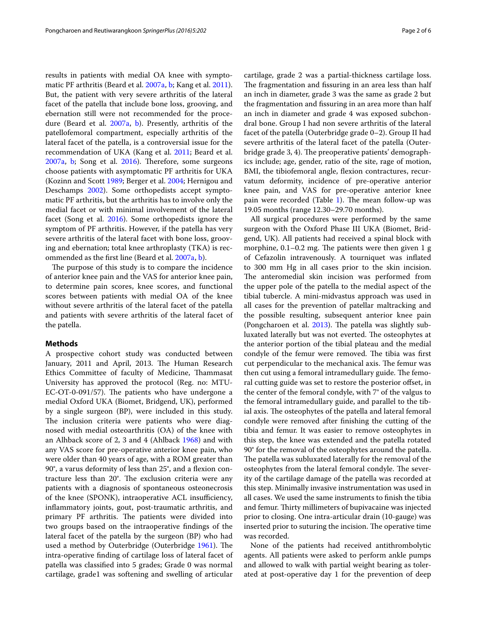results in patients with medial OA knee with symptomatic PF arthritis (Beard et al. [2007a](#page-5-11), [b;](#page-5-12) Kang et al. [2011](#page-5-13)). But, the patient with very severe arthritis of the lateral facet of the patella that include bone loss, grooving, and ebernation still were not recommended for the proce-dure (Beard et al. [2007a,](#page-5-11) [b\)](#page-5-12). Presently, arthritis of the patellofemoral compartment, especially arthritis of the lateral facet of the patella, is a controversial issue for the recommendation of UKA (Kang et al. [2011](#page-5-13); Beard et al. [2007a](#page-5-11), [b](#page-5-12); Song et al. [2016](#page-5-14)). Therefore, some surgeons choose patients with asymptomatic PF arthritis for UKA (Kozinn and Scott [1989](#page-5-9); Berger et al. [2004](#page-5-10); Hernigou and Deschamps [2002\)](#page-5-15). Some orthopedists accept symptomatic PF arthritis, but the arthritis has to involve only the medial facet or with minimal involvement of the lateral facet (Song et al. [2016\)](#page-5-14). Some orthopedists ignore the symptom of PF arthritis. However, if the patella has very severe arthritis of the lateral facet with bone loss, grooving and ebernation; total knee arthroplasty (TKA) is recommended as the first line (Beard et al. [2007a](#page-5-11), [b\)](#page-5-12).

The purpose of this study is to compare the incidence of anterior knee pain and the VAS for anterior knee pain, to determine pain scores, knee scores, and functional scores between patients with medial OA of the knee without severe arthritis of the lateral facet of the patella and patients with severe arthritis of the lateral facet of the patella.

#### **Methods**

A prospective cohort study was conducted between January, 2011 and April, 2013. The Human Research Ethics Committee of faculty of Medicine, Thammasat University has approved the protocol (Reg. no: MTU-EC-OT-0-091/57). The patients who have undergone a medial Oxford UKA (Biomet, Bridgend, UK), performed by a single surgeon (BP), were included in this study. The inclusion criteria were patients who were diagnosed with medial osteoarthritis (OA) of the knee with an Alhback score of 2, 3 and 4 (Ahlback [1968\)](#page-5-16) and with any VAS score for pre-operative anterior knee pain, who were older than 40 years of age, with a ROM greater than 90°, a varus deformity of less than 25°, and a flexion contracture less than 20°. The exclusion criteria were any patients with a diagnosis of spontaneous osteonecrosis of the knee (SPONK), intraoperative ACL insufficiency, inflammatory joints, gout, post-traumatic arthritis, and primary PF arthritis. The patients were divided into two groups based on the intraoperative findings of the lateral facet of the patella by the surgeon (BP) who had used a method by Outerbridge (Outerbridge [1961](#page-5-17)). The intra-operative finding of cartilage loss of lateral facet of patella was classified into 5 grades; Grade 0 was normal cartilage, grade1 was softening and swelling of articular

cartilage, grade 2 was a partial-thickness cartilage loss. The fragmentation and fissuring in an area less than half an inch in diameter, grade 3 was the same as grade 2 but the fragmentation and fissuring in an area more than half an inch in diameter and grade 4 was exposed subchondral bone. Group I had non severe arthritis of the lateral facet of the patella (Outerbridge grade 0–2). Group II had severe arthritis of the lateral facet of the patella (Outerbridge grade 3, 4). The preoperative patients' demographics include; age, gender, ratio of the site, rage of motion, BMI, the tibiofemoral angle, flexion contractures, recurvatum deformity, incidence of pre-operative anterior knee pain, and VAS for pre-operative anterior knee pain were recorded (Table [1\)](#page-2-0). The mean follow-up was 19.05 months (range 12.30–29.70 months).

All surgical procedures were performed by the same surgeon with the Oxford Phase III UKA (Biomet, Bridgend, UK). All patients had received a spinal block with morphine, 0.1–0.2 mg. The patients were then given 1 g of Cefazolin intravenously. A tourniquet was inflated to 300 mm Hg in all cases prior to the skin incision. The anteromedial skin incision was performed from the upper pole of the patella to the medial aspect of the tibial tubercle. A mini-midvastus approach was used in all cases for the prevention of patellar maltracking and the possible resulting, subsequent anterior knee pain (Pongcharoen et al. [2013\)](#page-5-18). The patella was slightly subluxated laterally but was not everted. The osteophytes at the anterior portion of the tibial plateau and the medial condyle of the femur were removed. The tibia was first cut perpendicular to the mechanical axis. The femur was then cut using a femoral intramedullary guide. The femoral cutting guide was set to restore the posterior offset, in the center of the femoral condyle, with 7° of the valgus to the femoral intramedullary guide, and parallel to the tibial axis. The osteophytes of the patella and lateral femoral condyle were removed after finishing the cutting of the tibia and femur. It was easier to remove osteophytes in this step, the knee was extended and the patella rotated 90° for the removal of the osteophytes around the patella. The patella was subluxated laterally for the removal of the osteophytes from the lateral femoral condyle. The severity of the cartilage damage of the patella was recorded at this step. Minimally invasive instrumentation was used in all cases. We used the same instruments to finish the tibia and femur. Thirty millimeters of bupivacaine was injected prior to closing. One intra-articular drain (10-gauge) was inserted prior to suturing the incision. The operative time was recorded.

None of the patients had received antithrombolytic agents. All patients were asked to perform ankle pumps and allowed to walk with partial weight bearing as tolerated at post-operative day 1 for the prevention of deep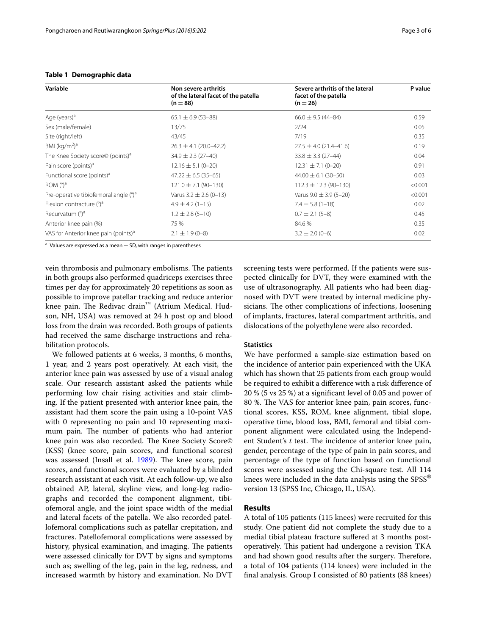| Variable                                          | Non severe arthritis<br>of the lateral facet of the patella<br>$(n = 88)$ | Severe arthritis of the lateral<br>facet of the patella<br>$(n = 26)$ | P value |
|---------------------------------------------------|---------------------------------------------------------------------------|-----------------------------------------------------------------------|---------|
| Age (years) <sup>a</sup>                          | $65.1 \pm 6.9 (53 - 88)$                                                  | $66.0 \pm 9.5 (44 - 84)$                                              | 0.59    |
| Sex (male/female)                                 | 13/75                                                                     | 2/24                                                                  | 0.05    |
| Site (right/left)                                 | 43/45                                                                     | 7/19                                                                  | 0.35    |
| BMI $(kq/m2)a$                                    | $26.3 \pm 4.1 (20.0 - 42.2)$                                              | $27.5 \pm 4.0$ (21.4-41.6)                                            | 0.19    |
| The Knee Society score© (points) <sup>a</sup>     | $34.9 \pm 2.3$ (27-40)                                                    | $33.8 \pm 3.3$ (27-44)                                                | 0.04    |
| Pain score (points) <sup>a</sup>                  | $12.16 \pm 5.1 (0 - 20)$                                                  | $12.31 \pm 7.1 (0 - 20)$                                              | 0.91    |
| Functional score (points) <sup>a</sup>            | $47.22 \pm 6.5 (35 - 65)$                                                 | $44.00 \pm 6.1$ (30-50)                                               | 0.03    |
| ROM $(^\circ)$ <sup>a</sup>                       | $121.0 \pm 7.1 (90 - 130)$                                                | $112.3 \pm 12.3 (90 - 130)$                                           | < 0.001 |
| Pre-operative tibiofemoral angle (°) <sup>a</sup> | Varus $3.2 \pm 2.6$ (0-13)                                                | Varus $9.0 \pm 3.9$ (5-20)                                            | < 0.001 |
| Flexion contracture (°) <sup>a</sup>              | $4.9 \pm 4.2$ (1-15)                                                      | $7.4 \pm 5.8$ (1-18)                                                  | 0.02    |
| Recurvatum (°) <sup>a</sup>                       | $1.2 \pm 2.8$ (5-10)                                                      | $0.7 \pm 2.1 (5 - 8)$                                                 | 0.45    |
| Anterior knee pain (%)                            | 75 %                                                                      | 84.6 %                                                                | 0.35    |
| VAS for Anterior knee pain (points) <sup>a</sup>  | $2.1 \pm 1.9$ (0-8)                                                       | $3.2 \pm 2.0$ (0-6)                                                   | 0.02    |

### <span id="page-2-0"></span>**Table 1 Demographic data**

<sup>a</sup> Values are expressed as a mean  $\pm$  SD, with ranges in parentheses

vein thrombosis and pulmonary embolisms. The patients in both groups also performed quadriceps exercises three times per day for approximately 20 repetitions as soon as possible to improve patellar tracking and reduce anterior knee pain. The Redivac drain™ (Atrium Medical. Hudson, NH, USA) was removed at 24 h post op and blood loss from the drain was recorded. Both groups of patients had received the same discharge instructions and rehabilitation protocols.

We followed patients at 6 weeks, 3 months, 6 months, 1 year, and 2 years post operatively. At each visit, the anterior knee pain was assessed by use of a visual analog scale. Our research assistant asked the patients while performing low chair rising activities and stair climbing. If the patient presented with anterior knee pain, the assistant had them score the pain using a 10-point VAS with 0 representing no pain and 10 representing maximum pain. The number of patients who had anterior knee pain was also recorded. The Knee Society Score© (KSS) (knee score, pain scores, and functional scores) was assessed (Insall et al. [1989\)](#page-5-19). The knee score, pain scores, and functional scores were evaluated by a blinded research assistant at each visit. At each follow-up, we also obtained AP, lateral, skyline view, and long-leg radiographs and recorded the component alignment, tibiofemoral angle, and the joint space width of the medial and lateral facets of the patella. We also recorded patellofemoral complications such as patellar crepitation, and fractures. Patellofemoral complications were assessed by history, physical examination, and imaging. The patients were assessed clinically for DVT by signs and symptoms such as; swelling of the leg, pain in the leg, redness, and increased warmth by history and examination. No DVT

screening tests were performed. If the patients were suspected clinically for DVT, they were examined with the use of ultrasonography. All patients who had been diagnosed with DVT were treated by internal medicine physicians. The other complications of infections, loosening of implants, fractures, lateral compartment arthritis, and dislocations of the polyethylene were also recorded.

### **Statistics**

We have performed a sample-size estimation based on the incidence of anterior pain experienced with the UKA which has shown that 25 patients from each group would be required to exhibit a difference with a risk difference of 20 % (5 vs 25 %) at a significant level of 0.05 and power of 80 %. The VAS for anterior knee pain, pain scores, functional scores, KSS, ROM, knee alignment, tibial slope, operative time, blood loss, BMI, femoral and tibial component alignment were calculated using the Independent Student's *t* test. The incidence of anterior knee pain, gender, percentage of the type of pain in pain scores, and percentage of the type of function based on functional scores were assessed using the Chi-square test. All 114 knees were included in the data analysis using the  $SPSS^{\omega}$ version 13 (SPSS Inc, Chicago, IL, USA).

### **Results**

A total of 105 patients (115 knees) were recruited for this study. One patient did not complete the study due to a medial tibial plateau fracture suffered at 3 months postoperatively. This patient had undergone a revision TKA and had shown good results after the surgery. Therefore, a total of 104 patients (114 knees) were included in the final analysis. Group I consisted of 80 patients (88 knees)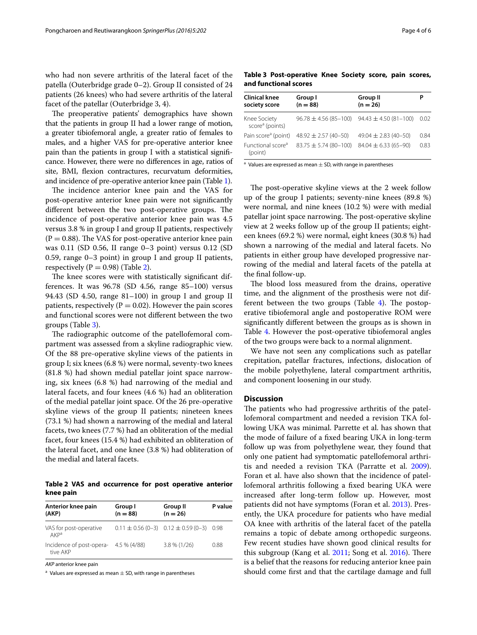who had non severe arthritis of the lateral facet of the patella (Outerbridge grade 0–2). Group II consisted of 24 patients (26 knees) who had severe arthritis of the lateral facet of the patellar (Outerbridge 3, 4).

The preoperative patients' demographics have shown that the patients in group II had a lower range of motion, a greater tibiofemoral angle, a greater ratio of females to males, and a higher VAS for pre-operative anterior knee pain than the patients in group I with a statistical significance. However, there were no differences in age, ratios of site, BMI, flexion contractures, recurvatum deformities, and incidence of pre-operative anterior knee pain (Table [1\)](#page-2-0).

The incidence anterior knee pain and the VAS for post-operative anterior knee pain were not significantly different between the two post-operative groups. The incidence of post-operative anterior knee pain was 4.5 versus 3.8 % in group I and group II patients, respectively  $(P = 0.88)$ . The VAS for post-operative anterior knee pain was 0.11 (SD 0.56, II range 0–3 point) versus 0.12 (SD 0.59, range 0–3 point) in group I and group II patients, respectively ( $P = 0.98$ ) (Table [2\)](#page-3-0).

The knee scores were with statistically significant differences. It was 96.78 (SD 4.56, range 85–100) versus 94.43 (SD 4.50, range 81–100) in group I and group II patients, respectively ( $P = 0.02$ ). However the pain scores and functional scores were not different between the two groups (Table [3\)](#page-3-1).

The radiographic outcome of the patellofemoral compartment was assessed from a skyline radiographic view. Of the 88 pre-operative skyline views of the patients in group I; six knees (6.8 %) were normal, seventy-two knees (81.8 %) had shown medial patellar joint space narrowing, six knees (6.8 %) had narrowing of the medial and lateral facets, and four knees (4.6 %) had an obliteration of the medial patellar joint space. Of the 26 pre-operative skyline views of the group II patients; nineteen knees (73.1 %) had shown a narrowing of the medial and lateral facets, two knees (7.7 %) had an obliteration of the medial facet, four knees (15.4 %) had exhibited an obliteration of the lateral facet, and one knee (3.8 %) had obliteration of the medial and lateral facets.

<span id="page-3-0"></span>**Table 2 VAS and occurrence for post operative anterior knee pain**

| Anterior knee pain<br>(AKP)                       | Group I<br>$(n = 88)$ | Group II<br>$(n = 26)$                           | P value |
|---------------------------------------------------|-----------------------|--------------------------------------------------|---------|
| VAS for post-operative<br>AKPa                    |                       | $0.11 \pm 0.56$ (0-3) $0.12 \pm 0.59$ (0-3) 0.98 |         |
| Incidence of post-opera- 4.5 % (4/88)<br>tive AKP |                       | $3.8\%$ (1/26)                                   | 0.88    |

*AKP* anterior knee pain

<sup>a</sup> Values are expressed as mean  $\pm$  SD, with range in parentheses

<span id="page-3-1"></span>**Table 3 Post-operative Knee Society score, pain scores, and functional scores**

| Group I<br>$(n = 88)$       | Group II<br>$(n = 26)$    | P                                                       |  |
|-----------------------------|---------------------------|---------------------------------------------------------|--|
|                             |                           | 0.02                                                    |  |
| $48.92 \pm 2.57(40 - 50)$   | $49.04 \pm 2.83(40 - 50)$ | 0.84                                                    |  |
| $83.75 \pm 5.74 (80 - 100)$ | $84.04 \pm 6.33(65 - 90)$ | 0.83                                                    |  |
|                             |                           | $96.78 \pm 4.56 (85 - 100)$ $94.43 \pm 4.50 (81 - 100)$ |  |

 $a$  Values are expressed as mean  $\pm$  SD, with range in parentheses

The post-operative skyline views at the 2 week follow up of the group I patients; seventy-nine knees (89.8 %) were normal, and nine knees (10.2 %) were with medial patellar joint space narrowing. The post-operative skyline view at 2 weeks follow up of the group II patients; eighteen knees (69.2 %) were normal, eight knees (30.8 %) had shown a narrowing of the medial and lateral facets. No patients in either group have developed progressive narrowing of the medial and lateral facets of the patella at the final follow-up.

The blood loss measured from the drains, operative time, and the alignment of the prosthesis were not different between the two groups (Table  $4$ ). The postoperative tibiofemoral angle and postoperative ROM were significantly different between the groups as is shown in Table [4](#page-4-0). However the post-operative tibiofemoral angles of the two groups were back to a normal alignment.

We have not seen any complications such as patellar crepitation, patellar fractures, infections, dislocation of the mobile polyethylene, lateral compartment arthritis, and component loosening in our study.

### **Discussion**

The patients who had progressive arthritis of the patellofemoral compartment and needed a revision TKA following UKA was minimal. Parrette et al. has shown that the mode of failure of a fixed bearing UKA in long-term follow up was from polyethylene wear, they found that only one patient had symptomatic patellofemoral arthritis and needed a revision TKA (Parratte et al. [2009](#page-5-20)). Foran et al. have also shown that the incidence of patellofemoral arthritis following a fixed bearing UKA were increased after long-term follow up. However, most patients did not have symptoms (Foran et al. [2013](#page-5-21)). Presently, the UKA procedure for patients who have medial OA knee with arthritis of the lateral facet of the patella remains a topic of debate among orthopedic surgeons. Few recent studies have shown good clinical results for this subgroup (Kang et al. [2011;](#page-5-13) Song et al. [2016\)](#page-5-14). There is a belief that the reasons for reducing anterior knee pain should come first and that the cartilage damage and full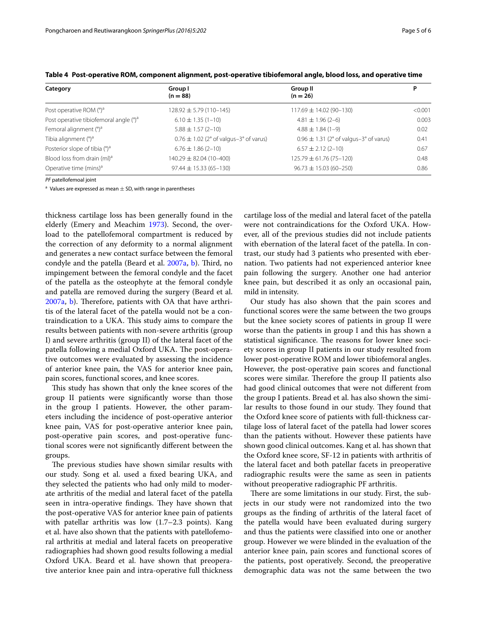| Category                                           | Group I<br>$(n = 88)$                      | Group II<br>$(n = 26)$                                         | Ρ       |  |
|----------------------------------------------------|--------------------------------------------|----------------------------------------------------------------|---------|--|
| Post operative ROM $(^\circ)^a$                    | $128.92 \pm 5.79(110 - 145)$               | $117.69 \pm 14.02 (90 - 130)$                                  | < 0.001 |  |
| Post operative tibiofemoral angle (°) <sup>a</sup> | $6.10 \pm 1.35(1 - 10)$                    | $4.81 \pm 1.96$ (2-6)                                          | 0.003   |  |
| Femoral alignment (°) <sup>a</sup>                 | $5.88 \pm 1.57$ (2-10)                     | $4.88 \pm 1.84(1-9)$                                           | 0.02    |  |
| Tibia alignment (°) <sup>a</sup>                   | $0.76 \pm 1.02$ (2° of valgus-3° of varus) | $0.96 \pm 1.31$ (2 $^{\circ}$ of valgus-3 $^{\circ}$ of varus) | 0.41    |  |
| Posterior slope of tibia (°) <sup>a</sup>          | $6.76 \pm 1.86$ (2-10)                     | $6.57 \pm 2.12$ (2-10)                                         | 0.67    |  |
| Blood loss from drain (ml) <sup>a</sup>            | $140.29 \pm 82.04(10-400)$                 | $125.79 \pm 61.76(75 - 120)$                                   | 0.48    |  |
| Operative time (mins) <sup>a</sup>                 | $97.44 \pm 15.33(65 - 130)$                | $96.73 \pm 15.03(60 - 250)$                                    | 0.86    |  |

<span id="page-4-0"></span>

|  |  |  | Table 4 Post-operative ROM, component alignment, post-operative tibiofemoral angle, blood loss, and operative time |
|--|--|--|--------------------------------------------------------------------------------------------------------------------|
|  |  |  |                                                                                                                    |

*PF* patellofemoal joint

<sup>a</sup> Values are expressed as mean  $\pm$  SD, with range in parentheses

thickness cartilage loss has been generally found in the elderly (Emery and Meachim [1973](#page-5-22)). Second, the overload to the patellofemoral compartment is reduced by the correction of any deformity to a normal alignment and generates a new contact surface between the femoral condyle and the patella (Beard et al. [2007a](#page-5-11), [b\)](#page-5-12). Third, no impingement between the femoral condyle and the facet of the patella as the osteophyte at the femoral condyle and patella are removed during the surgery (Beard et al. [2007a](#page-5-11), [b\)](#page-5-12). Therefore, patients with OA that have arthritis of the lateral facet of the patella would not be a contraindication to a UKA. This study aims to compare the results between patients with non-severe arthritis (group I) and severe arthritis (group II) of the lateral facet of the patella following a medial Oxford UKA. The post-operative outcomes were evaluated by assessing the incidence of anterior knee pain, the VAS for anterior knee pain, pain scores, functional scores, and knee scores.

This study has shown that only the knee scores of the group II patients were significantly worse than those in the group I patients. However, the other parameters including the incidence of post-operative anterior knee pain, VAS for post-operative anterior knee pain, post-operative pain scores, and post-operative functional scores were not significantly different between the groups.

The previous studies have shown similar results with our study. Song et al. used a fixed bearing UKA, and they selected the patients who had only mild to moderate arthritis of the medial and lateral facet of the patella seen in intra-operative findings. They have shown that the post-operative VAS for anterior knee pain of patients with patellar arthritis was low (1.7–2.3 points). Kang et al. have also shown that the patients with patellofemoral arthritis at medial and lateral facets on preoperative radiographies had shown good results following a medial Oxford UKA. Beard et al. have shown that preoperative anterior knee pain and intra-operative full thickness cartilage loss of the medial and lateral facet of the patella were not contraindications for the Oxford UKA. However, all of the previous studies did not include patients with ebernation of the lateral facet of the patella. In contrast, our study had 3 patients who presented with ebernation. Two patients had not experienced anterior knee pain following the surgery. Another one had anterior knee pain, but described it as only an occasional pain, mild in intensity.

Our study has also shown that the pain scores and functional scores were the same between the two groups but the knee society scores of patients in group II were worse than the patients in group I and this has shown a statistical significance. The reasons for lower knee society scores in group II patients in our study resulted from lower post-operative ROM and lower tibiofemoral angles. However, the post-operative pain scores and functional scores were similar. Therefore the group II patients also had good clinical outcomes that were not different from the group I patients. Bread et al. has also shown the similar results to those found in our study. They found that the Oxford knee score of patients with full-thickness cartilage loss of lateral facet of the patella had lower scores than the patients without. However these patients have shown good clinical outcomes. Kang et al. has shown that the Oxford knee score, SF-12 in patients with arthritis of the lateral facet and both patellar facets in preoperative radiographic results were the same as seen in patients without preoperative radiographic PF arthritis.

There are some limitations in our study. First, the subjects in our study were not randomized into the two groups as the finding of arthritis of the lateral facet of the patella would have been evaluated during surgery and thus the patients were classified into one or another group. However we were blinded in the evaluation of the anterior knee pain, pain scores and functional scores of the patients, post operatively. Second, the preoperative demographic data was not the same between the two